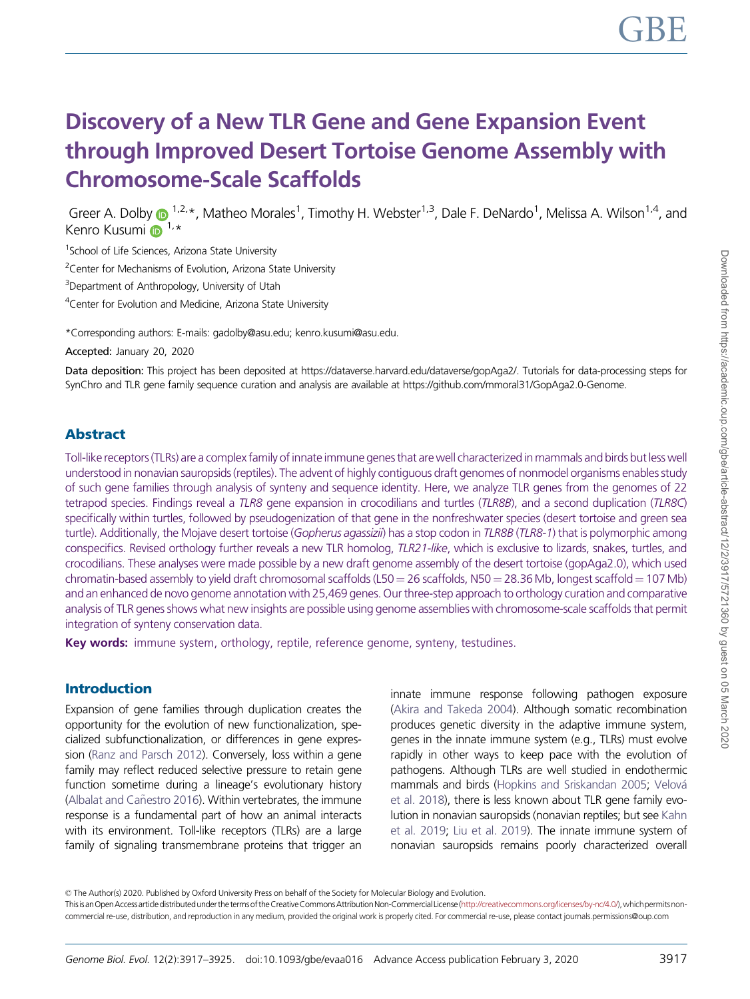# Discovery of a New TLR Gene and Gene Expansion Event through Improved Desert Tortoise Genome Assembly with Chromosome-Scale Scaffolds

Greer A. Dolby  $\bigoplus^{1,2,*}$ , Matheo Morales<sup>1</sup>, Timothy H. Webster<sup>1,3</sup>, Dale F. DeNardo<sup>1</sup>, Melissa A. Wilson<sup>1,4</sup>, and Kenro Kusumi  $\mathbf{D}^{1,*}$  $\mathbf{D}^{1,*}$  $\mathbf{D}^{1,*}$ 

<sup>1</sup>School of Life Sciences, Arizona State University

<sup>2</sup> Center for Mechanisms of Evolution, Arizona State University

<sup>3</sup>Department of Anthropology, University of Utah

<sup>4</sup> Center for Evolution and Medicine, Arizona State University

\*Corresponding authors: E-mails: gadolby@asu.edu; kenro.kusumi@asu.edu.

Accepted: January 20, 2020

Data deposition: This project has been deposited at https://dataverse.harvard.edu/dataverse/gopAga2/. Tutorials for data-processing steps for SynChro and TLR gene family sequence curation and analysis are available at https://github.com/mmoral31/GopAga2.0-Genome.

#### Abstract

Toll-like receptors (TLRs) are a complex family of innate immune genes that are well characterized in mammals and birds but less well understood in nonavian sauropsids (reptiles). The advent of highly contiguous draft genomes of nonmodel organisms enables study of such gene families through analysis of synteny and sequence identity. Here, we analyze TLR genes from the genomes of 22 tetrapod species. Findings reveal a TLR8 gene expansion in crocodilians and turtles (TLR8B), and a second duplication (TLR8C) specifically within turtles, followed by pseudogenization of that gene in the nonfreshwater species (desert tortoise and green sea turtle). Additionally, the Mojave desert tortoise (Gopherus agassizii) has a stop codon in TLR8B (TLR8-1) that is polymorphic among conspecifics. Revised orthology further reveals a new TLR homolog, TLR21-like, which is exclusive to lizards, snakes, turtles, and crocodilians. These analyses were made possible by a new draft genome assembly of the desert tortoise (gopAga2.0), which used chromatin-based assembly to yield draft chromosomal scaffolds (L50 = 26 scaffolds, N50 = 28.36 Mb, longest scaffold = 107 Mb) and an enhanced de novo genome annotation with 25,469 genes. Our three-step approach to orthology curation and comparative analysis of TLR genes shows what new insights are possible using genome assemblies with chromosome-scale scaffolds that permit integration of synteny conservation data.

Key words: immune system, orthology, reptile, reference genome, synteny, testudines.

#### Introduction

Expansion of gene families through duplication creates the opportunity for the evolution of new functionalization, specialized subfunctionalization, or differences in gene expression [\(Ranz and Parsch 2012\)](#page-7-0). Conversely, loss within a gene family may reflect reduced selective pressure to retain gene function sometime during a lineage's evolutionary history (Albalat and Cañestro 2016). Within vertebrates, the immune response is a fundamental part of how an animal interacts with its environment. Toll-like receptors (TLRs) are a large family of signaling transmembrane proteins that trigger an

innate immune response following pathogen exposure [\(Akira and Takeda 2004](#page-7-0)). Although somatic recombination produces genetic diversity in the adaptive immune system, genes in the innate immune system (e.g., TLRs) must evolve rapidly in other ways to keep pace with the evolution of pathogens. Although TLRs are well studied in endothermic mammals and birds ([Hopkins and Sriskandan 2005;](#page-7-0) [Velov](#page-8-0)á [et al. 2018\)](#page-8-0), there is less known about TLR gene family evolution in nonavian sauropsids (nonavian reptiles; but see [Kahn](#page-7-0) [et al. 2019](#page-7-0); [Liu et al. 2019](#page-7-0)). The innate immune system of nonavian sauropsids remains poorly characterized overall

© The Author(s) 2020. Published by Oxford University Press on behalf of the Society for Molecular Biology and Evolution.

Thisis an Open Accessarticle distributed under the terms of the Creative Commons Attribution Non-Commercial License [\(http://creativecommons.org/licenses/by-nc/4.0/\)](http://creativecommons.org/licenses/by-nc/4.0/), which permits noncommercial re-use, distribution, and reproduction in any medium, provided the original work is properly cited. For commercial re-use, please contact journals.permissions@oup.com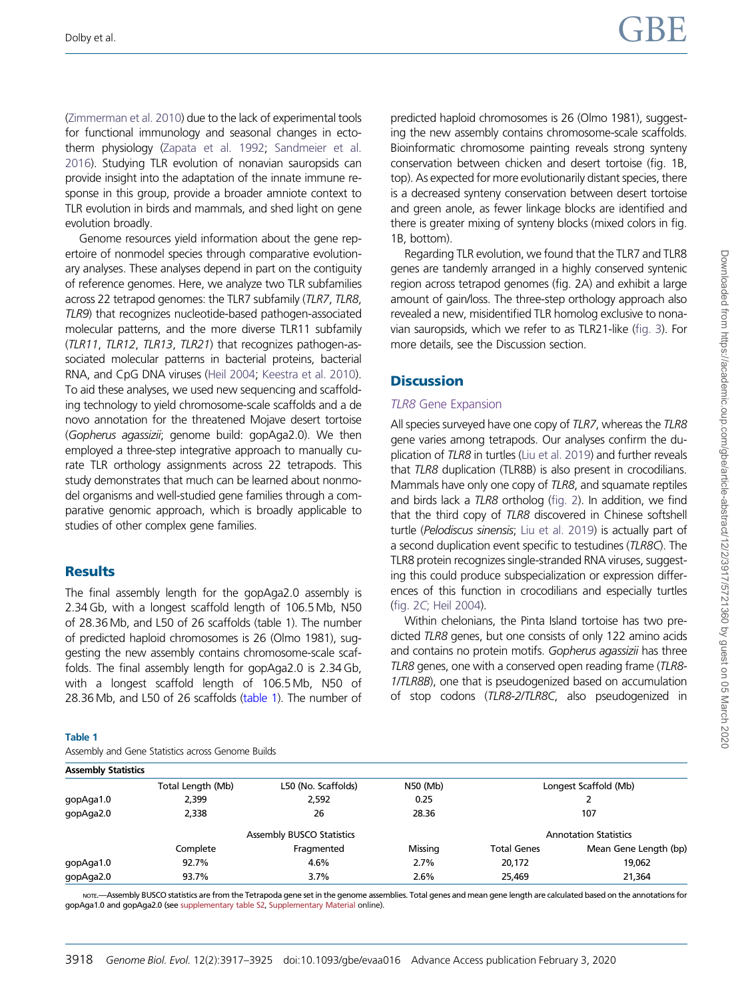[\(Zimmerman et al. 2010\)](#page-8-0) due to the lack of experimental tools for functional immunology and seasonal changes in ectotherm physiology ([Zapata et al. 1992;](#page-8-0) [Sandmeier et al.](#page-7-0) [2016](#page-7-0)). Studying TLR evolution of nonavian sauropsids can provide insight into the adaptation of the innate immune response in this group, provide a broader amniote context to TLR evolution in birds and mammals, and shed light on gene evolution broadly.

Genome resources yield information about the gene repertoire of nonmodel species through comparative evolutionary analyses. These analyses depend in part on the contiguity of reference genomes. Here, we analyze two TLR subfamilies across 22 tetrapod genomes: the TLR7 subfamily (TLR7, TLR8, TLR9) that recognizes nucleotide-based pathogen-associated molecular patterns, and the more diverse TLR11 subfamily (TLR11, TLR12, TLR13, TLR21) that recognizes pathogen-associated molecular patterns in bacterial proteins, bacterial RNA, and CpG DNA viruses [\(Heil 2004;](#page-7-0) [Keestra et al. 2010](#page-7-0)). To aid these analyses, we used new sequencing and scaffolding technology to yield chromosome-scale scaffolds and a de novo annotation for the threatened Mojave desert tortoise (Gopherus agassizii; genome build: gopAga2.0). We then employed a three-step integrative approach to manually curate TLR orthology assignments across 22 tetrapods. This study demonstrates that much can be learned about nonmodel organisms and well-studied gene families through a comparative genomic approach, which is broadly applicable to studies of other complex gene families.

# **Results**

The final assembly length for the gopAga2.0 assembly is 2.34 Gb, with a longest scaffold length of 106.5 Mb, N50 of 28.36 Mb, and L50 of 26 scaffolds (table 1). The number of predicted haploid chromosomes is 26 (Olmo 1981), suggesting the new assembly contains chromosome-scale scaffolds. The final assembly length for gopAga2.0 is 2.34 Gb, with a longest scaffold length of 106.5 Mb, N50 of 28.36 Mb, and L50 of 26 scaffolds (table 1). The number of

#### Table 1

Assembly and Gene Statistics across Genome Builds

predicted haploid chromosomes is 26 (Olmo 1981), suggesting the new assembly contains chromosome-scale scaffolds. Bioinformatic chromosome painting reveals strong synteny conservation between chicken and desert tortoise (fig. 1B, top). As expected for more evolutionarily distant species, there is a decreased synteny conservation between desert tortoise and green anole, as fewer linkage blocks are identified and there is greater mixing of synteny blocks (mixed colors in fig. 1B, bottom).

Regarding TLR evolution, we found that the TLR7 and TLR8 genes are tandemly arranged in a highly conserved syntenic region across tetrapod genomes (fig. 2A) and exhibit a large amount of gain/loss. The three-step orthology approach also revealed a new, misidentified TLR homolog exclusive to nonavian sauropsids, which we refer to as TLR21-like ([fig. 3\)](#page-4-0). For more details, see the Discussion section.

# **Discussion**

#### TLR8 Gene Expansion

All species surveyed have one copy of TLR7, whereas the TLR8 gene varies among tetrapods. Our analyses confirm the duplication of TLR8 in turtles [\(Liu et al. 2019](#page-7-0)) and further reveals that TLR8 duplication (TLR8B) is also present in crocodilians. Mammals have only one copy of TLR8, and squamate reptiles and birds lack a TLR8 ortholog [\(fig. 2](#page-3-0)). In addition, we find that the third copy of TLR8 discovered in Chinese softshell turtle (Pelodiscus sinensis; [Liu et al. 2019\)](#page-7-0) is actually part of a second duplication event specific to testudines (TLR8C). The TLR8 protein recognizes single-stranded RNA viruses, suggesting this could produce subspecialization or expression differences of this function in crocodilians and especially turtles (fig. 2C[; Heil 2004\)](#page-7-0).

Within chelonians, the Pinta Island tortoise has two predicted TLR8 genes, but one consists of only 122 amino acids and contains no protein motifs. Gopherus agassizii has three TLR8 genes, one with a conserved open reading frame (TLR8- 1/TLR8B), one that is pseudogenized based on accumulation of stop codons (TLR8-2/TLR8C, also pseudogenized in

| <b>Assembly Statistics</b> |                           |                     |          |                              |                       |
|----------------------------|---------------------------|---------------------|----------|------------------------------|-----------------------|
|                            | Total Length (Mb)         | L50 (No. Scaffolds) | N50 (Mb) | Longest Scaffold (Mb)        |                       |
| gopAga1.0                  | 2,399                     | 2,592               | 0.25     |                              |                       |
| qopAqa2.0                  | 2,338                     | 26                  | 28.36    | 107                          |                       |
|                            | Assembly BUSCO Statistics |                     |          | <b>Annotation Statistics</b> |                       |
|                            | Complete                  | Fragmented          | Missing  | <b>Total Genes</b>           | Mean Gene Length (bp) |
| gopAga1.0                  | 92.7%                     | 4.6%                | 2.7%     | 20,172                       | 19,062                |
| gopAga2.0                  | 93.7%                     | 3.7%                | 2.6%     | 25.469                       | 21,364                |

NOTE.—Assembly BUSCO statistics are from the Tetrapoda gene set in the genome assemblies. Total genes and mean gene length are calculated based on the annotations for gopAga1.0 and gopAga2.0 (see [supplementary table S2](https://academic.oup.com/gbe/article-lookup/doi/10.1093/gbe/evaa016#supplementary-data), [Supplementary Material](https://academic.oup.com/gbe/article-lookup/doi/10.1093/gbe/evaa016#supplementary-data) online).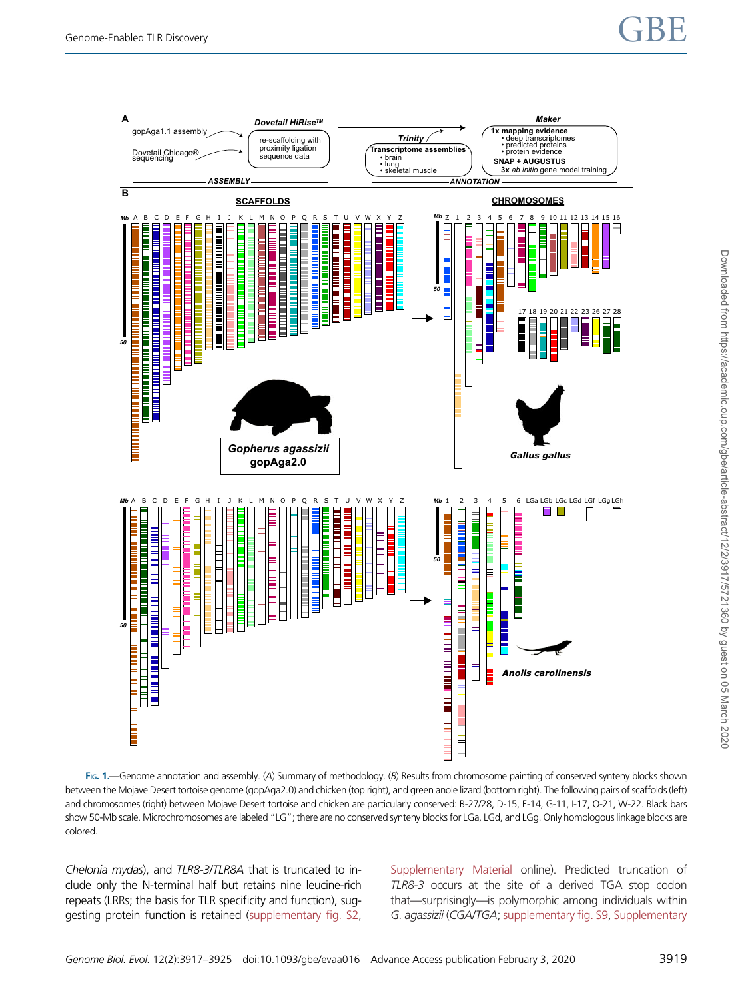# <span id="page-2-0"></span>Genome-Enabled TLR Discovery  $\mathbf{GBE}$



FIG. 1.—Genome annotation and assembly. (A) Summary of methodology. (B) Results from chromosome painting of conserved synteny blocks shown between the Mojave Desert tortoise genome (gopAga2.0) and chicken (top right), and green anole lizard (bottom right). The following pairs of scaffolds (left) and chromosomes (right) between Mojave Desert tortoise and chicken are particularly conserved: B-27/28, D-15, E-14, G-11, I-17, O-21, W-22. Black bars show 50-Mb scale. Microchromosomes are labeled "LG"; there are no conserved synteny blocks for LGa, LGd, and LGg. Only homologous linkage blocks are colored.

Chelonia mydas), and TLR8-3/TLR8A that is truncated to include only the N-terminal half but retains nine leucine-rich repeats (LRRs; the basis for TLR specificity and function), suggesting protein function is retained [\(supplementary fig. S2,](https://academic.oup.com/gbe/article-lookup/doi/10.1093/gbe/evaa016#supplementary-data) [Supplementary Material](https://academic.oup.com/gbe/article-lookup/doi/10.1093/gbe/evaa016#supplementary-data) online). Predicted truncation of TLR8-3 occurs at the site of a derived TGA stop codon that—surprisingly—is polymorphic among individuals within G. agassizii (CGA/TGA; [supplementary fig. S9](https://academic.oup.com/gbe/article-lookup/doi/10.1093/gbe/evaa016#supplementary-data), [Supplementary](https://academic.oup.com/gbe/article-lookup/doi/10.1093/gbe/evaa016#supplementary-data)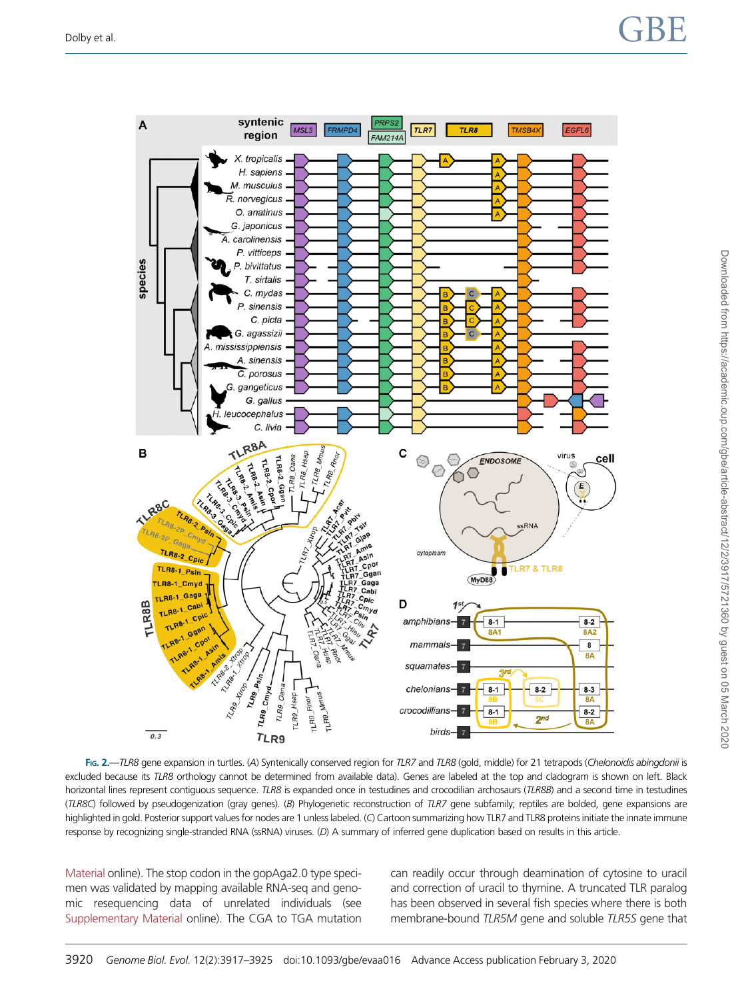<span id="page-3-0"></span>

FIG. 2.—TLR8 gene expansion in turtles. (A) Syntenically conserved region for TLR7 and TLR8 (gold, middle) for 21 tetrapods (Chelonoidis abingdonii is excluded because its TLR8 orthology cannot be determined from available data). Genes are labeled at the top and cladogram is shown on left. Black horizontal lines represent contiguous sequence. TLR8 is expanded once in testudines and crocodilian archosaurs (TLR8B) and a second time in testudines (TLR8C) followed by pseudogenization (gray genes). (B) Phylogenetic reconstruction of TLR7 gene subfamily; reptiles are bolded, gene expansions are highlighted in gold. Posterior support values for nodes are 1 unless labeled. (C) Cartoon summarizing how TLR7 and TLR8 proteins initiate the innate immune response by recognizing single-stranded RNA (ssRNA) viruses. (D) A summary of inferred gene duplication based on results in this article.

[Material](https://academic.oup.com/gbe/article-lookup/doi/10.1093/gbe/evaa016#supplementary-data) online). The stop codon in the gopAga2.0 type specimen was validated by mapping available RNA-seq and genomic resequencing data of unrelated individuals (see [Supplementary Material](https://academic.oup.com/gbe/article-lookup/doi/10.1093/gbe/evaa016#supplementary-data) online). The CGA to TGA mutation can readily occur through deamination of cytosine to uracil and correction of uracil to thymine. A truncated TLR paralog has been observed in several fish species where there is both membrane-bound TLR5M gene and soluble TLR5S gene that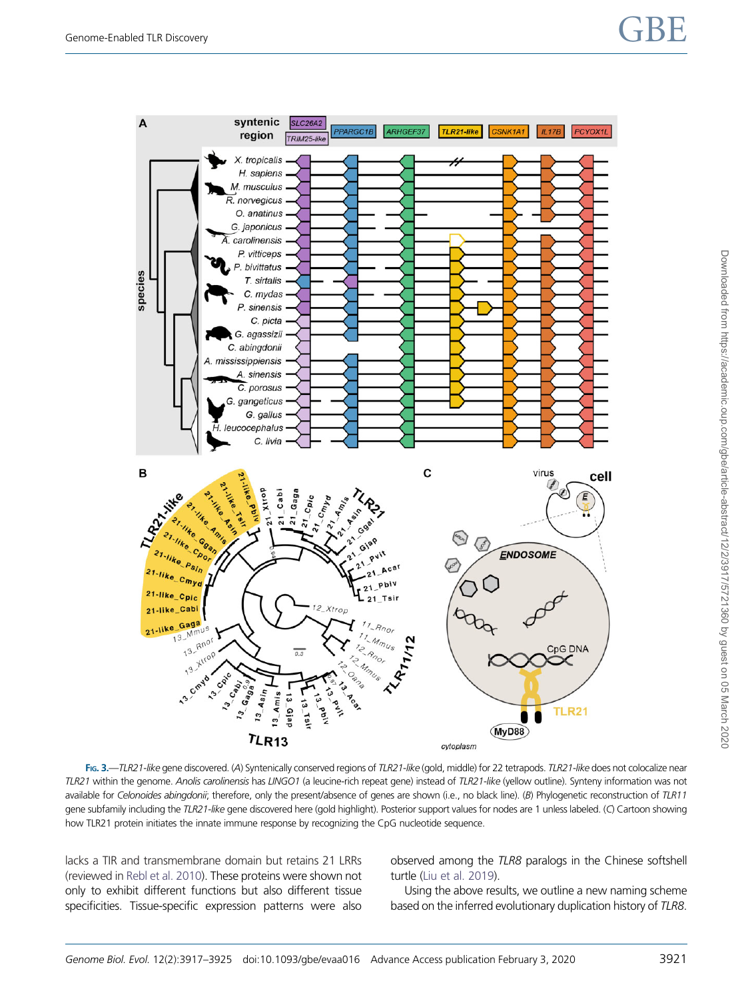# <span id="page-4-0"></span>Genome-Enabled TLR Discovery  $\mathbf{GBE}$



FIG. 3.—TLR21-like gene discovered. (A) Syntenically conserved regions of TLR21-like (gold, middle) for 22 tetrapods. TLR21-like does not colocalize near TLR21 within the genome. Anolis carolinensis has LINGO1 (a leucine-rich repeat gene) instead of TLR21-like (yellow outline). Synteny information was not available for Celonoides abingdonii; therefore, only the present/absence of genes are shown (i.e., no black line). (B) Phylogenetic reconstruction of TLR11 gene subfamily including the TLR21-like gene discovered here (gold highlight). Posterior support values for nodes are 1 unless labeled. (C) Cartoon showing how TLR21 protein initiates the innate immune response by recognizing the CpG nucleotide sequence.

lacks a TIR and transmembrane domain but retains 21 LRRs (reviewed in [Rebl et al. 2010](#page-7-0)). These proteins were shown not only to exhibit different functions but also different tissue specificities. Tissue-specific expression patterns were also observed among the TLR8 paralogs in the Chinese softshell turtle [\(Liu et al. 2019](#page-7-0)).

Using the above results, we outline a new naming scheme based on the inferred evolutionary duplication history of TLR8.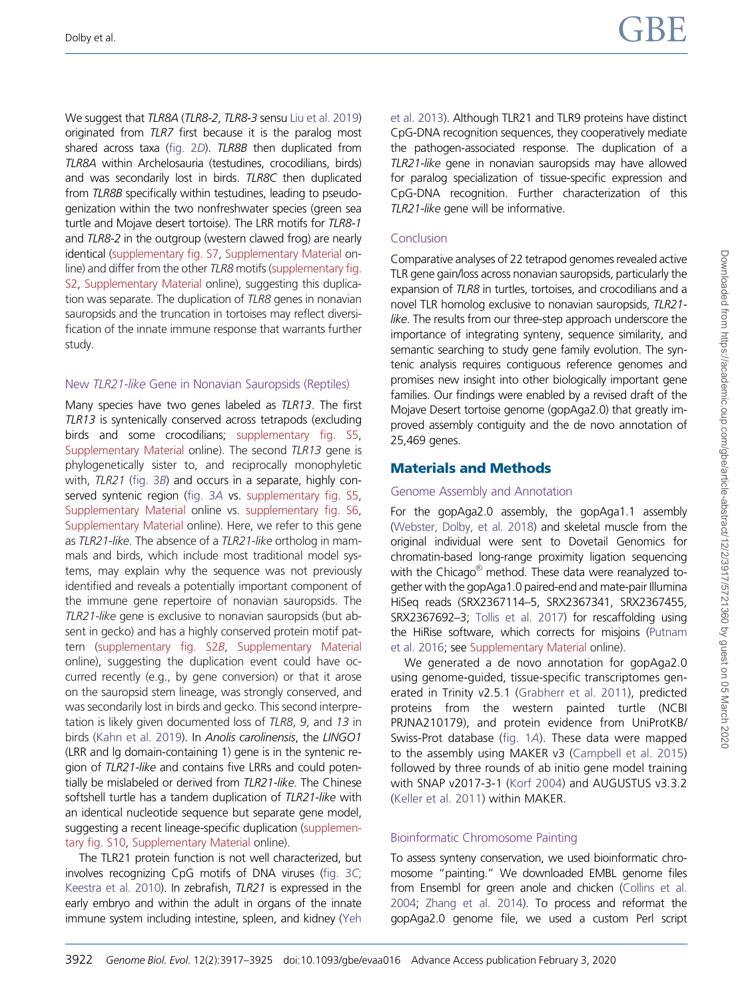We suggest that TLR8A (TLR8-2, TLR8-3 sensu [Liu et al. 2019\)](#page-7-0) originated from TLR7 first because it is the paralog most shared across taxa [\(fig. 2](#page-3-0)D). TLR8B then duplicated from TLR8A within Archelosauria (testudines, crocodilians, birds) and was secondarily lost in birds. TLR8C then duplicated from TLR8B specifically within testudines, leading to pseudogenization within the two nonfreshwater species (green sea turtle and Mojave desert tortoise). The LRR motifs for TLR8-1 and TLR8-2 in the outgroup (western clawed frog) are nearly identical [\(supplementary fig. S7,](https://academic.oup.com/gbe/article-lookup/doi/10.1093/gbe/evaa016#supplementary-data) [Supplementary Material](https://academic.oup.com/gbe/article-lookup/doi/10.1093/gbe/evaa016#supplementary-data) online) and differ from the other TLR8 motifs [\(supplementary fig.](https://academic.oup.com/gbe/article-lookup/doi/10.1093/gbe/evaa016#supplementary-data) [S2](https://academic.oup.com/gbe/article-lookup/doi/10.1093/gbe/evaa016#supplementary-data), [Supplementary Material](https://academic.oup.com/gbe/article-lookup/doi/10.1093/gbe/evaa016#supplementary-data) online), suggesting this duplication was separate. The duplication of TLR8 genes in nonavian sauropsids and the truncation in tortoises may reflect diversification of the innate immune response that warrants further study.

#### New TLR21-like Gene in Nonavian Sauropsids (Reptiles)

Many species have two genes labeled as TLR13. The first TLR13 is syntenically conserved across tetrapods (excluding birds and some crocodilians; [supplementary fig. S5,](https://academic.oup.com/gbe/article-lookup/doi/10.1093/gbe/evaa016#supplementary-data) [Supplementary Material](https://academic.oup.com/gbe/article-lookup/doi/10.1093/gbe/evaa016#supplementary-data) online). The second TLR13 gene is phylogenetically sister to, and reciprocally monophyletic with, TLR21 [\(fig. 3](#page-4-0)B) and occurs in a separate, highly conserved syntenic region ([fig. 3](#page-4-0)A vs. [supplementary fig. S5,](https://academic.oup.com/gbe/article-lookup/doi/10.1093/gbe/evaa016#supplementary-data) [Supplementary Material](https://academic.oup.com/gbe/article-lookup/doi/10.1093/gbe/evaa016#supplementary-data) online vs. [supplementary fig. S6,](https://academic.oup.com/gbe/article-lookup/doi/10.1093/gbe/evaa016#supplementary-data) [Supplementary Material](https://academic.oup.com/gbe/article-lookup/doi/10.1093/gbe/evaa016#supplementary-data) online). Here, we refer to this gene as TLR21-like. The absence of a TLR21-like ortholog in mammals and birds, which include most traditional model systems, may explain why the sequence was not previously identified and reveals a potentially important component of the immune gene repertoire of nonavian sauropsids. The TLR21-like gene is exclusive to nonavian sauropsids (but absent in gecko) and has a highly conserved protein motif pattern ([supplementary fig. S2](https://academic.oup.com/gbe/article-lookup/doi/10.1093/gbe/evaa016#supplementary-data)B, [Supplementary Material](https://academic.oup.com/gbe/article-lookup/doi/10.1093/gbe/evaa016#supplementary-data) online), suggesting the duplication event could have occurred recently (e.g., by gene conversion) or that it arose on the sauropsid stem lineage, was strongly conserved, and was secondarily lost in birds and gecko. This second interpretation is likely given documented loss of TLR8, 9, and 13 in birds [\(Kahn et al. 2019](#page-7-0)). In Anolis carolinensis, the LINGO1 (LRR and lg domain-containing 1) gene is in the syntenic region of TLR21-like and contains five LRRs and could potentially be mislabeled or derived from TLR21-like. The Chinese softshell turtle has a tandem duplication of TLR21-like with an identical nucleotide sequence but separate gene model, suggesting a recent lineage-specific duplication [\(supplemen](https://academic.oup.com/gbe/article-lookup/doi/10.1093/gbe/evaa016#supplementary-data)[tary fig. S10,](https://academic.oup.com/gbe/article-lookup/doi/10.1093/gbe/evaa016#supplementary-data) [Supplementary Material](https://academic.oup.com/gbe/article-lookup/doi/10.1093/gbe/evaa016#supplementary-data) online).

The TLR21 protein function is not well characterized, but involves recognizing CpG motifs of DNA viruses ([fig. 3](#page-7-0)C; [Keestra et al. 2010\)](#page-7-0). In zebrafish, TLR21 is expressed in the early embryo and within the adult in organs of the innate immune system including intestine, spleen, and kidney [\(Yeh](#page-8-0)

[et al. 2013](#page-8-0)). Although TLR21 and TLR9 proteins have distinct CpG-DNA recognition sequences, they cooperatively mediate the pathogen-associated response. The duplication of a TLR21-like gene in nonavian sauropsids may have allowed for paralog specialization of tissue-specific expression and CpG-DNA recognition. Further characterization of this TLR21-like gene will be informative.

#### Conclusion

Comparative analyses of 22 tetrapod genomes revealed active TLR gene gain/loss across nonavian sauropsids, particularly the expansion of TLR8 in turtles, tortoises, and crocodilians and a novel TLR homolog exclusive to nonavian sauropsids, TLR21 like. The results from our three-step approach underscore the importance of integrating synteny, sequence similarity, and semantic searching to study gene family evolution. The syntenic analysis requires contiguous reference genomes and promises new insight into other biologically important gene families. Our findings were enabled by a revised draft of the Mojave Desert tortoise genome (gopAga2.0) that greatly improved assembly contiguity and the de novo annotation of 25,469 genes.

# Materials and Methods

#### Genome Assembly and Annotation

For the gopAga2.0 assembly, the gopAga1.1 assembly [\(Webster, Dolby, et al. 2018\)](#page-8-0) and skeletal muscle from the original individual were sent to Dovetail Genomics for chromatin-based long-range proximity ligation sequencing with the Chicago<sup>®</sup> method. These data were reanalyzed together with the gopAga1.0 paired-end and mate-pair Illumina HiSeq reads (SRX2367114–5, SRX2367341, SRX2367455, SRX2367692–3; [Tollis et al. 2017\)](#page-8-0) for rescaffolding using the HiRise software, which corrects for misjoins [\(Putnam](#page-7-0) [et al. 2016;](#page-7-0) see [Supplementary Material](https://academic.oup.com/gbe/article-lookup/doi/10.1093/gbe/evaa016#supplementary-data) online).

We generated a de novo annotation for gopAga2.0 using genome-guided, tissue-specific transcriptomes generated in Trinity v2.5.1 [\(Grabherr et al. 2011\)](#page-7-0), predicted proteins from the western painted turtle (NCBI PRJNA210179), and protein evidence from UniProtKB/ Swiss-Prot database [\(fig. 1](#page-2-0)A). These data were mapped to the assembly using MAKER v3 [\(Campbell et al. 2015](#page-7-0)) followed by three rounds of ab initio gene model training with SNAP v2017-3-1 ([Korf 2004\)](#page-7-0) and AUGUSTUS v3.3.2 [\(Keller et al. 2011\)](#page-7-0) within MAKER.

# Bioinformatic Chromosome Painting

To assess synteny conservation, we used bioinformatic chromosome "painting." We downloaded EMBL genome files from Ensembl for green anole and chicken ([Collins et al.](#page-7-0) [2004](#page-7-0); [Zhang et al. 2014](#page-8-0)). To process and reformat the gopAga2.0 genome file, we used a custom Perl script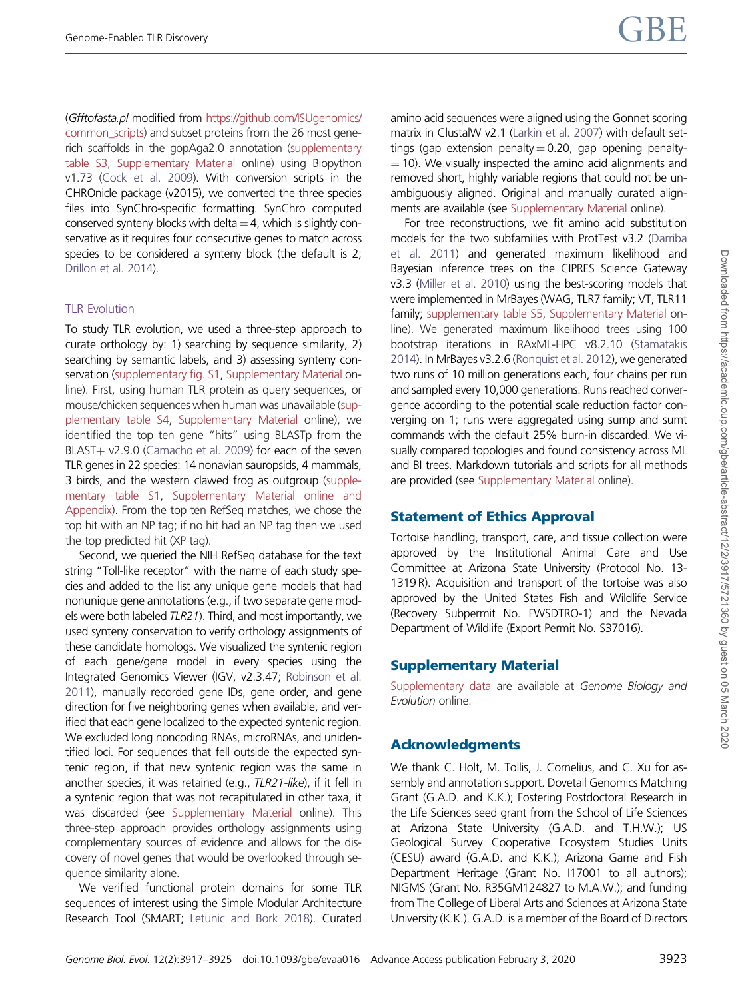(Gfftofasta.pl modified from [https://github.com/ISUgenomics/](https://github.com/ISUgenomics/common_scripts) [common\\_scripts](https://github.com/ISUgenomics/common_scripts)) and subset proteins from the 26 most generich scaffolds in the gopAga2.0 annotation ([supplementary](https://academic.oup.com/gbe/article-lookup/doi/10.1093/gbe/evaa016#supplementary-data) [table S3](https://academic.oup.com/gbe/article-lookup/doi/10.1093/gbe/evaa016#supplementary-data), [Supplementary Material](https://academic.oup.com/gbe/article-lookup/doi/10.1093/gbe/evaa016#supplementary-data) online) using Biopython v1.73 [\(Cock et al. 2009](#page-7-0)). With conversion scripts in the CHROnicle package (v2015), we converted the three species files into SynChro-specific formatting. SynChro computed conserved synteny blocks with delta  $=$  4, which is slightly conservative as it requires four consecutive genes to match across species to be considered a synteny block (the default is 2; [Drillon et al. 2014](#page-7-0)).

#### TLR Evolution

To study TLR evolution, we used a three-step approach to curate orthology by: 1) searching by sequence similarity, 2) searching by semantic labels, and 3) assessing synteny conservation [\(supplementary fig. S1,](https://academic.oup.com/gbe/article-lookup/doi/10.1093/gbe/evaa016#supplementary-data) [Supplementary Material](https://academic.oup.com/gbe/article-lookup/doi/10.1093/gbe/evaa016#supplementary-data) online). First, using human TLR protein as query sequences, or mouse/chicken sequences when human was unavailable ([sup](https://academic.oup.com/gbe/article-lookup/doi/10.1093/gbe/evaa016#supplementary-data)[plementary table S4](https://academic.oup.com/gbe/article-lookup/doi/10.1093/gbe/evaa016#supplementary-data), [Supplementary Material](https://academic.oup.com/gbe/article-lookup/doi/10.1093/gbe/evaa016#supplementary-data) online), we identified the top ten gene "hits" using BLASTp from the  $BLAST+ v2.9.0$  [\(Camacho et al. 2009\)](#page-7-0) for each of the seven TLR genes in 22 species: 14 nonavian sauropsids, 4 mammals, 3 birds, and the western clawed frog as outgroup [\(supple](https://academic.oup.com/gbe/article-lookup/doi/10.1093/gbe/evaa016#supplementary-data)[mentary table S1](https://academic.oup.com/gbe/article-lookup/doi/10.1093/gbe/evaa016#supplementary-data), [Supplementary Material online and](https://academic.oup.com/gbe/article-lookup/doi/10.1093/gbe/evaa016#supplementary-data) [Appendix\)](https://academic.oup.com/gbe/article-lookup/doi/10.1093/gbe/evaa016#supplementary-data). From the top ten RefSeq matches, we chose the top hit with an NP tag; if no hit had an NP tag then we used the top predicted hit (XP tag).

Second, we queried the NIH RefSeq database for the text string "Toll-like receptor" with the name of each study species and added to the list any unique gene models that had nonunique gene annotations (e.g., if two separate gene models were both labeled TLR21). Third, and most importantly, we used synteny conservation to verify orthology assignments of these candidate homologs. We visualized the syntenic region of each gene/gene model in every species using the Integrated Genomics Viewer (IGV, v2.3.47; [Robinson et al.](#page-7-0) [2011](#page-7-0)), manually recorded gene IDs, gene order, and gene direction for five neighboring genes when available, and verified that each gene localized to the expected syntenic region. We excluded long noncoding RNAs, microRNAs, and unidentified loci. For sequences that fell outside the expected syntenic region, if that new syntenic region was the same in another species, it was retained (e.g., TLR21-like), if it fell in a syntenic region that was not recapitulated in other taxa, it was discarded (see [Supplementary Material](https://academic.oup.com/gbe/article-lookup/doi/10.1093/gbe/evaa016#supplementary-data) online). This three-step approach provides orthology assignments using complementary sources of evidence and allows for the discovery of novel genes that would be overlooked through sequence similarity alone.

We verified functional protein domains for some TLR sequences of interest using the Simple Modular Architecture Research Tool (SMART; [Letunic and Bork 2018\)](#page-7-0). Curated amino acid sequences were aligned using the Gonnet scoring matrix in ClustalW v2.1 [\(Larkin et al. 2007](#page-7-0)) with default settings (gap extension penalty  $= 0.20$ , gap opening penalty- $=$  10). We visually inspected the amino acid alignments and removed short, highly variable regions that could not be unambiguously aligned. Original and manually curated alignments are available (see [Supplementary Material](https://academic.oup.com/gbe/article-lookup/doi/10.1093/gbe/evaa016#supplementary-data) online).

For tree reconstructions, we fit amino acid substitution models for the two subfamilies with ProtTest v3.2 ([Darriba](#page-7-0) [et al. 2011\)](#page-7-0) and generated maximum likelihood and Bayesian inference trees on the CIPRES Science Gateway v3.3 [\(Miller et al. 2010](#page-7-0)) using the best-scoring models that were implemented in MrBayes (WAG, TLR7 family; VT, TLR11 family; [supplementary table S5](https://academic.oup.com/gbe/article-lookup/doi/10.1093/gbe/evaa016#supplementary-data), [Supplementary Material](https://academic.oup.com/gbe/article-lookup/doi/10.1093/gbe/evaa016#supplementary-data) online). We generated maximum likelihood trees using 100 bootstrap iterations in RAxML-HPC v8.2.10 [\(Stamatakis](#page-7-0) [2014\)](#page-7-0). In MrBayes v3.2.6 ([Ronquist et al. 2012\)](#page-7-0), we generated two runs of 10 million generations each, four chains per run and sampled every 10,000 generations. Runs reached convergence according to the potential scale reduction factor converging on 1; runs were aggregated using sump and sumt commands with the default 25% burn-in discarded. We visually compared topologies and found consistency across ML and BI trees. Markdown tutorials and scripts for all methods are provided (see [Supplementary Material](https://academic.oup.com/gbe/article-lookup/doi/10.1093/gbe/evaa016#supplementary-data) online).

# Statement of Ethics Approval

Tortoise handling, transport, care, and tissue collection were approved by the Institutional Animal Care and Use Committee at Arizona State University (Protocol No. 13- 1319 R). Acquisition and transport of the tortoise was also approved by the United States Fish and Wildlife Service (Recovery Subpermit No. FWSDTRO-1) and the Nevada Department of Wildlife (Export Permit No. S37016).

# Supplementary Material

[Supplementary data](https://academic.oup.com/gbe/article-lookup/doi/10.1093/gbe/evaa016#supplementary-data) are available at Genome Biology and Evolution online.

# Acknowledgments

We thank C. Holt, M. Tollis, J. Cornelius, and C. Xu for assembly and annotation support. Dovetail Genomics Matching Grant (G.A.D. and K.K.); Fostering Postdoctoral Research in the Life Sciences seed grant from the School of Life Sciences at Arizona State University (G.A.D. and T.H.W.); US Geological Survey Cooperative Ecosystem Studies Units (CESU) award (G.A.D. and K.K.); Arizona Game and Fish Department Heritage (Grant No. I17001 to all authors); NIGMS (Grant No. R35GM124827 to M.A.W.); and funding from The College of Liberal Arts and Sciences at Arizona State University (K.K.). G.A.D. is a member of the Board of Directors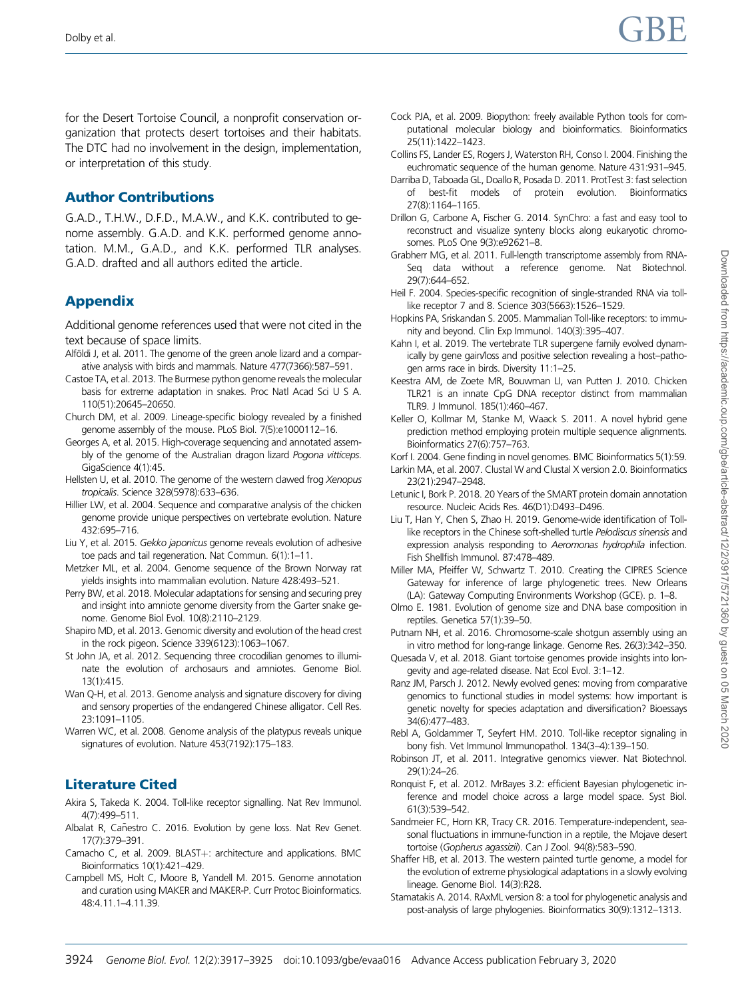<span id="page-7-0"></span>for the Desert Tortoise Council, a nonprofit conservation organization that protects desert tortoises and their habitats. The DTC had no involvement in the design, implementation, or interpretation of this study.

# Author Contributions

G.A.D., T.H.W., D.F.D., M.A.W., and K.K. contributed to genome assembly. G.A.D. and K.K. performed genome annotation. M.M., G.A.D., and K.K. performed TLR analyses. G.A.D. drafted and all authors edited the article.

# Appendix

Additional genome references used that were not cited in the text because of space limits.

- Alföldi J, et al. 2011. The genome of the green anole lizard and a comparative analysis with birds and mammals. Nature 477(7366):587–591.
- Castoe TA, et al. 2013. The Burmese python genome reveals the molecular basis for extreme adaptation in snakes. Proc Natl Acad Sci U S A. 110(51):20645–20650.
- Church DM, et al. 2009. Lineage-specific biology revealed by a finished genome assembly of the mouse. PLoS Biol. 7(5):e1000112–16.
- Georges A, et al. 2015. High-coverage sequencing and annotated assembly of the genome of the Australian dragon lizard Pogona vitticeps. GigaScience 4(1):45.
- Hellsten U, et al. 2010. The genome of the western clawed frog Xenopus tropicalis. Science 328(5978):633–636.
- Hillier LW, et al. 2004. Sequence and comparative analysis of the chicken genome provide unique perspectives on vertebrate evolution. Nature 432:695–716.
- Liu Y, et al. 2015. Gekko japonicus genome reveals evolution of adhesive toe pads and tail regeneration. Nat Commun. 6(1):1–11.
- Metzker ML, et al. 2004. Genome sequence of the Brown Norway rat yields insights into mammalian evolution. Nature 428:493–521.
- Perry BW, et al. 2018. Molecular adaptations for sensing and securing prey and insight into amniote genome diversity from the Garter snake genome. Genome Biol Evol. 10(8):2110–2129.
- Shapiro MD, et al. 2013. Genomic diversity and evolution of the head crest in the rock pigeon. Science 339(6123):1063–1067.
- St John JA, et al. 2012. Sequencing three crocodilian genomes to illuminate the evolution of archosaurs and amniotes. Genome Biol. 13(1):415.
- Wan Q-H, et al. 2013. Genome analysis and signature discovery for diving and sensory properties of the endangered Chinese alligator. Cell Res. 23:1091–1105.
- Warren WC, et al. 2008. Genome analysis of the platypus reveals unique signatures of evolution. Nature 453(7192):175–183.

# Literature Cited

- Akira S, Takeda K. 2004. Toll-like receptor signalling. Nat Rev Immunol. 4(7):499–511.
- Albalat R, Cañestro C. 2016. Evolution by gene loss. Nat Rev Genet. 17(7):379–391.
- Camacho C, et al. 2009. BLAST+: architecture and applications. BMC Bioinformatics 10(1):421–429.
- Campbell MS, Holt C, Moore B, Yandell M. 2015. Genome annotation and curation using MAKER and MAKER-P. Curr Protoc Bioinformatics. 48:4.11.1–4.11.39.
- Cock PJA, et al. 2009. Biopython: freely available Python tools for computational molecular biology and bioinformatics. Bioinformatics 25(11):1422–1423.
- Collins FS, Lander ES, Rogers J, Waterston RH, Conso I. 2004. Finishing the euchromatic sequence of the human genome. Nature 431:931–945.
- Darriba D, Taboada GL, Doallo R, Posada D. 2011. ProtTest 3: fast selection of best-fit models of protein evolution. Bioinformatics 27(8):1164–1165.
- Drillon G, Carbone A, Fischer G. 2014. SynChro: a fast and easy tool to reconstruct and visualize synteny blocks along eukaryotic chromosomes. PLoS One 9(3):e92621–8.
- Grabherr MG, et al. 2011. Full-length transcriptome assembly from RNA-Seq data without a reference genome. Nat Biotechnol. 29(7):644–652.
- Heil F. 2004. Species-specific recognition of single-stranded RNA via tolllike receptor 7 and 8. Science 303(5663):1526–1529.
- Hopkins PA, Sriskandan S. 2005. Mammalian Toll-like receptors: to immunity and beyond. Clin Exp Immunol. 140(3):395–407.
- Kahn I, et al. 2019. The vertebrate TLR supergene family evolved dynamically by gene gain/loss and positive selection revealing a host–pathogen arms race in birds. Diversity 11:1–25.
- Keestra AM, de Zoete MR, Bouwman LI, van Putten J. 2010. Chicken TLR21 is an innate CpG DNA receptor distinct from mammalian TLR9. J Immunol. 185(1):460–467.
- Keller O, Kollmar M, Stanke M, Waack S. 2011. A novel hybrid gene prediction method employing protein multiple sequence alignments. Bioinformatics 27(6):757–763.

Korf I. 2004. Gene finding in novel genomes. BMC Bioinformatics 5(1):59.

Larkin MA, et al. 2007. Clustal W and Clustal X version 2.0. Bioinformatics 23(21):2947–2948.

- Letunic I, Bork P. 2018. 20 Years of the SMART protein domain annotation resource. Nucleic Acids Res. 46(D1):D493–D496.
- Liu T, Han Y, Chen S, Zhao H. 2019. Genome-wide identification of Tolllike receptors in the Chinese soft-shelled turtle Pelodiscus sinensis and expression analysis responding to Aeromonas hydrophila infection. Fish Shellfish Immunol. 87:478–489.
- Miller MA, Pfeiffer W, Schwartz T. 2010. Creating the CIPRES Science Gateway for inference of large phylogenetic trees. New Orleans (LA): Gateway Computing Environments Workshop (GCE). p. 1–8.
- Olmo E. 1981. Evolution of genome size and DNA base composition in reptiles. Genetica 57(1):39–50.

Putnam NH, et al. 2016. Chromosome-scale shotgun assembly using an in vitro method for long-range linkage. Genome Res. 26(3):342–350.

- Quesada V, et al. 2018. Giant tortoise genomes provide insights into longevity and age-related disease. Nat Ecol Evol. 3:1–12.
- Ranz JM, Parsch J. 2012. Newly evolved genes: moving from comparative genomics to functional studies in model systems: how important is genetic novelty for species adaptation and diversification? Bioessays 34(6):477–483.
- Rebl A, Goldammer T, Seyfert HM. 2010. Toll-like receptor signaling in bony fish. Vet Immunol Immunopathol. 134(3–4):139–150.
- Robinson JT, et al. 2011. Integrative genomics viewer. Nat Biotechnol. 29(1):24–26.
- Ronquist F, et al. 2012. MrBayes 3.2: efficient Bayesian phylogenetic inference and model choice across a large model space. Syst Biol. 61(3):539–542.
- Sandmeier FC, Horn KR, Tracy CR. 2016. Temperature-independent, seasonal fluctuations in immune-function in a reptile, the Mojave desert tortoise (Gopherus agassizii). Can J Zool. 94(8):583–590.
- Shaffer HB, et al. 2013. The western painted turtle genome, a model for the evolution of extreme physiological adaptations in a slowly evolving lineage. Genome Biol. 14(3):R28.
- Stamatakis A. 2014. RAxML version 8: a tool for phylogenetic analysis and post-analysis of large phylogenies. Bioinformatics 30(9):1312–1313.